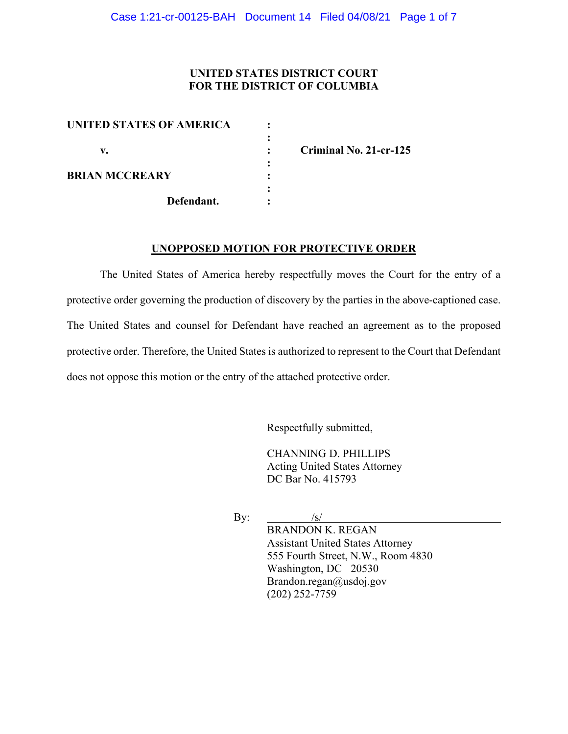## **UNITED STATES DISTRICT COURT FOR THE DISTRICT OF COLUMBIA**

| UNITED STATES OF AMERICA |            |  |
|--------------------------|------------|--|
|                          |            |  |
| v.                       |            |  |
|                          |            |  |
| <b>BRIAN MCCREARY</b>    |            |  |
|                          |            |  |
|                          | Defendant. |  |
|                          |            |  |

**v. : Criminal No. 21-cr-125**

### **UNOPPOSED MOTION FOR PROTECTIVE ORDER**

The United States of America hereby respectfully moves the Court for the entry of a protective order governing the production of discovery by the parties in the above-captioned case. The United States and counsel for Defendant have reached an agreement as to the proposed protective order. Therefore, the United States is authorized to represent to the Court that Defendant does not oppose this motion or the entry of the attached protective order.

Respectfully submitted,

CHANNING D. PHILLIPS Acting United States Attorney DC Bar No. 415793

By:  $\frac{1}{s}$ BRANDON K. REGAN Assistant United States Attorney 555 Fourth Street, N.W., Room 4830 Washington, DC 20530 Brandon.regan@usdoj.gov (202) 252-7759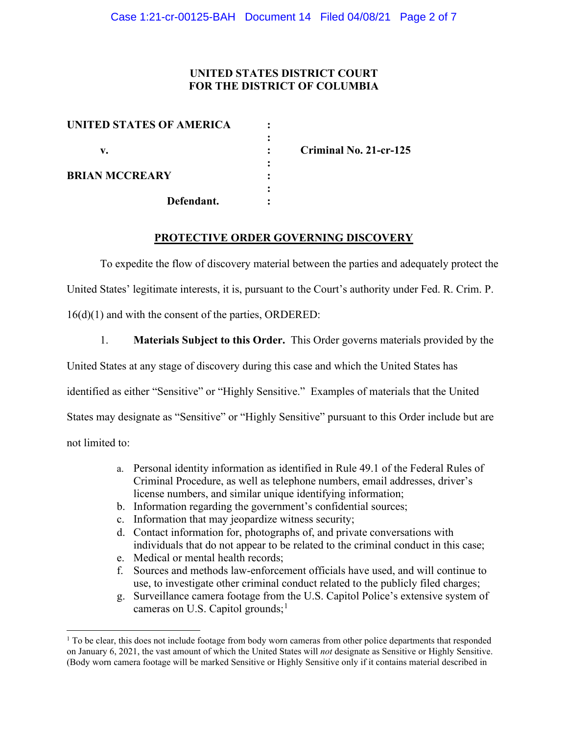## **UNITED STATES DISTRICT COURT FOR THE DISTRICT OF COLUMBIA**

| UNITED STATES OF AMERICA |            |   |
|--------------------------|------------|---|
|                          |            |   |
| v.                       |            | r |
|                          |            |   |
| <b>BRIAN MCCREARY</b>    |            |   |
|                          |            |   |
|                          | Defendant. |   |
|                          |            |   |

**v. : Criminal No. 21-cr-125**

#### **PROTECTIVE ORDER GOVERNING DISCOVERY**

To expedite the flow of discovery material between the parties and adequately protect the United States' legitimate interests, it is, pursuant to the Court's authority under Fed. R. Crim. P. 16(d)(1) and with the consent of the parties, ORDERED:

1. **Materials Subject to this Order.** This Order governs materials provided by the United States at any stage of discovery during this case and which the United States has identified as either "Sensitive" or "Highly Sensitive." Examples of materials that the United States may designate as "Sensitive" or "Highly Sensitive" pursuant to this Order include but are not limited to:

- a. Personal identity information as identified in Rule 49.1 of the Federal Rules of Criminal Procedure, as well as telephone numbers, email addresses, driver's license numbers, and similar unique identifying information;
- b. Information regarding the government's confidential sources;
- c. Information that may jeopardize witness security;
- d. Contact information for, photographs of, and private conversations with individuals that do not appear to be related to the criminal conduct in this case;
- e. Medical or mental health records;
- f. Sources and methods law-enforcement officials have used, and will continue to use, to investigate other criminal conduct related to the publicly filed charges;
- g. Surveillance camera footage from the U.S. Capitol Police's extensive system of cameras on U.S. Capitol grounds;<sup>1</sup>

 $1$  To be clear, this does not include footage from body worn cameras from other police departments that responded on January 6, 2021, the vast amount of which the United States will *not* designate as Sensitive or Highly Sensitive. (Body worn camera footage will be marked Sensitive or Highly Sensitive only if it contains material described in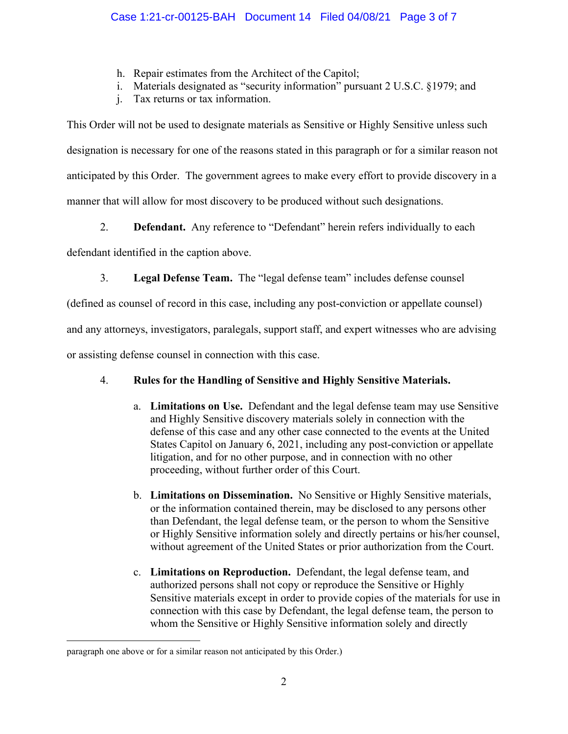- h. Repair estimates from the Architect of the Capitol;
- i. Materials designated as "security information" pursuant 2 U.S.C. §1979; and
- j. Tax returns or tax information.

This Order will not be used to designate materials as Sensitive or Highly Sensitive unless such designation is necessary for one of the reasons stated in this paragraph or for a similar reason not anticipated by this Order. The government agrees to make every effort to provide discovery in a manner that will allow for most discovery to be produced without such designations.

2. **Defendant.** Any reference to "Defendant" herein refers individually to each

defendant identified in the caption above.

3. **Legal Defense Team.** The "legal defense team" includes defense counsel

(defined as counsel of record in this case, including any post-conviction or appellate counsel)

and any attorneys, investigators, paralegals, support staff, and expert witnesses who are advising

or assisting defense counsel in connection with this case.

# 4. **Rules for the Handling of Sensitive and Highly Sensitive Materials.**

- a. **Limitations on Use.** Defendant and the legal defense team may use Sensitive and Highly Sensitive discovery materials solely in connection with the defense of this case and any other case connected to the events at the United States Capitol on January 6, 2021, including any post-conviction or appellate litigation, and for no other purpose, and in connection with no other proceeding, without further order of this Court.
- b. **Limitations on Dissemination.** No Sensitive or Highly Sensitive materials, or the information contained therein, may be disclosed to any persons other than Defendant, the legal defense team, or the person to whom the Sensitive or Highly Sensitive information solely and directly pertains or his/her counsel, without agreement of the United States or prior authorization from the Court.
- c. **Limitations on Reproduction.** Defendant, the legal defense team, and authorized persons shall not copy or reproduce the Sensitive or Highly Sensitive materials except in order to provide copies of the materials for use in connection with this case by Defendant, the legal defense team, the person to whom the Sensitive or Highly Sensitive information solely and directly

paragraph one above or for a similar reason not anticipated by this Order.)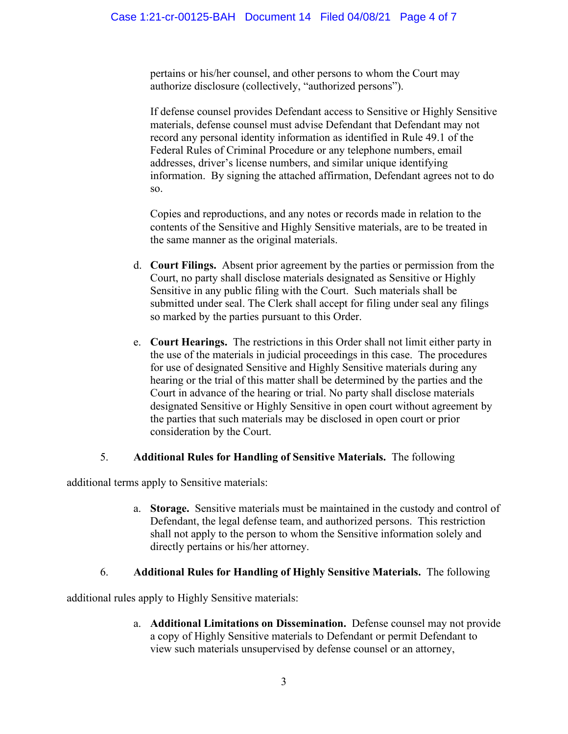pertains or his/her counsel, and other persons to whom the Court may authorize disclosure (collectively, "authorized persons").

If defense counsel provides Defendant access to Sensitive or Highly Sensitive materials, defense counsel must advise Defendant that Defendant may not record any personal identity information as identified in Rule 49.1 of the Federal Rules of Criminal Procedure or any telephone numbers, email addresses, driver's license numbers, and similar unique identifying information. By signing the attached affirmation, Defendant agrees not to do so.

Copies and reproductions, and any notes or records made in relation to the contents of the Sensitive and Highly Sensitive materials, are to be treated in the same manner as the original materials.

- d. **Court Filings.** Absent prior agreement by the parties or permission from the Court, no party shall disclose materials designated as Sensitive or Highly Sensitive in any public filing with the Court. Such materials shall be submitted under seal. The Clerk shall accept for filing under seal any filings so marked by the parties pursuant to this Order.
- e. **Court Hearings.** The restrictions in this Order shall not limit either party in the use of the materials in judicial proceedings in this case. The procedures for use of designated Sensitive and Highly Sensitive materials during any hearing or the trial of this matter shall be determined by the parties and the Court in advance of the hearing or trial. No party shall disclose materials designated Sensitive or Highly Sensitive in open court without agreement by the parties that such materials may be disclosed in open court or prior consideration by the Court.

## 5. **Additional Rules for Handling of Sensitive Materials.** The following

additional terms apply to Sensitive materials:

a. **Storage.** Sensitive materials must be maintained in the custody and control of Defendant, the legal defense team, and authorized persons. This restriction shall not apply to the person to whom the Sensitive information solely and directly pertains or his/her attorney.

## 6. **Additional Rules for Handling of Highly Sensitive Materials.** The following

additional rules apply to Highly Sensitive materials:

a. **Additional Limitations on Dissemination.** Defense counsel may not provide a copy of Highly Sensitive materials to Defendant or permit Defendant to view such materials unsupervised by defense counsel or an attorney,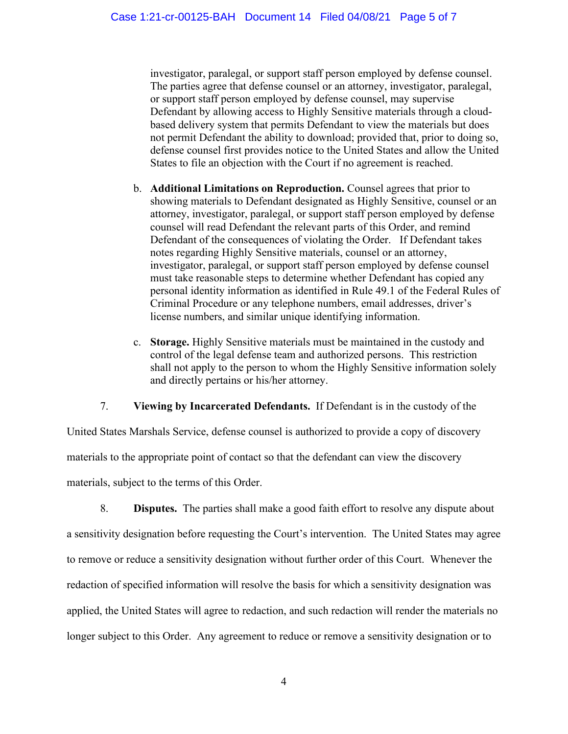investigator, paralegal, or support staff person employed by defense counsel. The parties agree that defense counsel or an attorney, investigator, paralegal, or support staff person employed by defense counsel, may supervise Defendant by allowing access to Highly Sensitive materials through a cloudbased delivery system that permits Defendant to view the materials but does not permit Defendant the ability to download; provided that, prior to doing so, defense counsel first provides notice to the United States and allow the United States to file an objection with the Court if no agreement is reached.

- b. **Additional Limitations on Reproduction.** Counsel agrees that prior to showing materials to Defendant designated as Highly Sensitive, counsel or an attorney, investigator, paralegal, or support staff person employed by defense counsel will read Defendant the relevant parts of this Order, and remind Defendant of the consequences of violating the Order. If Defendant takes notes regarding Highly Sensitive materials, counsel or an attorney, investigator, paralegal, or support staff person employed by defense counsel must take reasonable steps to determine whether Defendant has copied any personal identity information as identified in Rule 49.1 of the Federal Rules of Criminal Procedure or any telephone numbers, email addresses, driver's license numbers, and similar unique identifying information.
- c. **Storage.** Highly Sensitive materials must be maintained in the custody and control of the legal defense team and authorized persons. This restriction shall not apply to the person to whom the Highly Sensitive information solely and directly pertains or his/her attorney.

7. **Viewing by Incarcerated Defendants.** If Defendant is in the custody of the

United States Marshals Service, defense counsel is authorized to provide a copy of discovery materials to the appropriate point of contact so that the defendant can view the discovery materials, subject to the terms of this Order.

8. **Disputes.** The parties shall make a good faith effort to resolve any dispute about a sensitivity designation before requesting the Court's intervention. The United States may agree to remove or reduce a sensitivity designation without further order of this Court. Whenever the redaction of specified information will resolve the basis for which a sensitivity designation was applied, the United States will agree to redaction, and such redaction will render the materials no longer subject to this Order. Any agreement to reduce or remove a sensitivity designation or to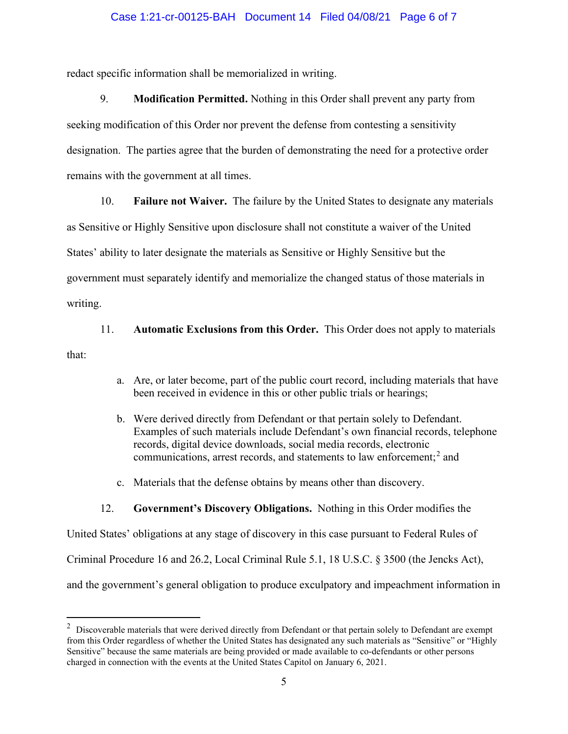#### Case 1:21-cr-00125-BAH Document 14 Filed 04/08/21 Page 6 of 7

redact specific information shall be memorialized in writing.

9. **Modification Permitted.** Nothing in this Order shall prevent any party from seeking modification of this Order nor prevent the defense from contesting a sensitivity designation. The parties agree that the burden of demonstrating the need for a protective order remains with the government at all times.

10. **Failure not Waiver.** The failure by the United States to designate any materials

as Sensitive or Highly Sensitive upon disclosure shall not constitute a waiver of the United States' ability to later designate the materials as Sensitive or Highly Sensitive but the

government must separately identify and memorialize the changed status of those materials in

writing.

11. **Automatic Exclusions from this Order.** This Order does not apply to materials

that:

- a. Are, or later become, part of the public court record, including materials that have been received in evidence in this or other public trials or hearings;
- b. Were derived directly from Defendant or that pertain solely to Defendant. Examples of such materials include Defendant's own financial records, telephone records, digital device downloads, social media records, electronic communications, arrest records, and statements to law enforcement; <sup>2</sup> and
- c. Materials that the defense obtains by means other than discovery.

#### 12. **Government's Discovery Obligations.** Nothing in this Order modifies the

United States' obligations at any stage of discovery in this case pursuant to Federal Rules of Criminal Procedure 16 and 26.2, Local Criminal Rule 5.1, 18 U.S.C. § 3500 (the Jencks Act), and the government's general obligation to produce exculpatory and impeachment information in

 $2$  Discoverable materials that were derived directly from Defendant or that pertain solely to Defendant are exempt from this Order regardless of whether the United States has designated any such materials as "Sensitive" or "Highly Sensitive" because the same materials are being provided or made available to co-defendants or other persons charged in connection with the events at the United States Capitol on January 6, 2021.